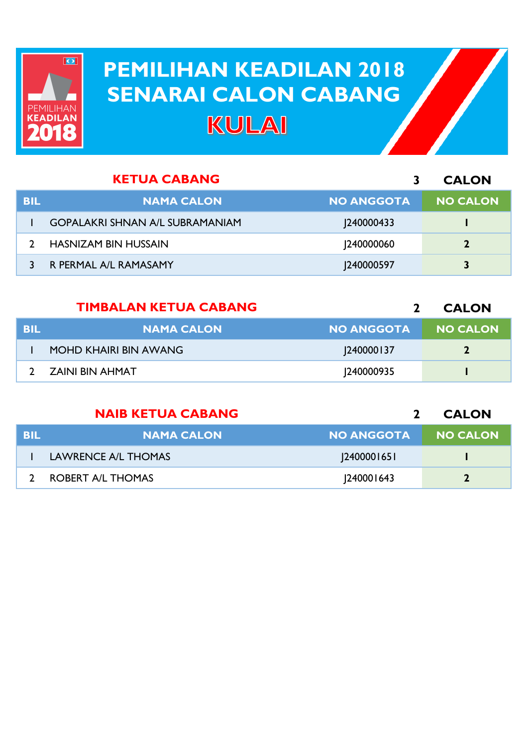

## **PEMILIHAN KEADILAN 2018 PEMILIHAN KEADILAN 2018 SENARAI CALON CABANG SENARAI CALON CABANGKULAI**

|     | <b>KETUA CABANG</b>                    |                   | <b>CALON</b>    |
|-----|----------------------------------------|-------------------|-----------------|
| BIL | <b>NAMA CALON</b>                      | <b>NO ANGGOTA</b> | <b>NO CALON</b> |
|     | <b>GOPALAKRI SHNAN A/L SUBRAMANIAM</b> | [240000433]       |                 |
|     | <b>HASNIZAM BIN HUSSAIN</b>            | 240000060         |                 |
|     | R PERMAL A/L RAMASAMY                  | 240000597         | 3               |

|            | <b>TIMBALAN KETUA CABANG</b> |                   | <b>CALON</b>    |
|------------|------------------------------|-------------------|-----------------|
| <b>BIL</b> | <b>NAMA CALON</b>            | <b>NO ANGGOTA</b> | <b>NO CALON</b> |
|            | MOHD KHAIRI BIN AWANG        | <b>240000137</b>  |                 |
|            | ZAINI BIN AHMAT              | <b>240000935</b>  |                 |

|            | <b>NAIB KETUA CABANG</b> |                   | <b>CALON</b>    |
|------------|--------------------------|-------------------|-----------------|
| <b>BIL</b> | <b>NAMA CALON</b>        | <b>NO ANGGOTA</b> | <b>NO CALON</b> |
|            | LAWRENCE A/L THOMAS      | 240000165         |                 |
|            | ROBERT A/L THOMAS        | 240001643         |                 |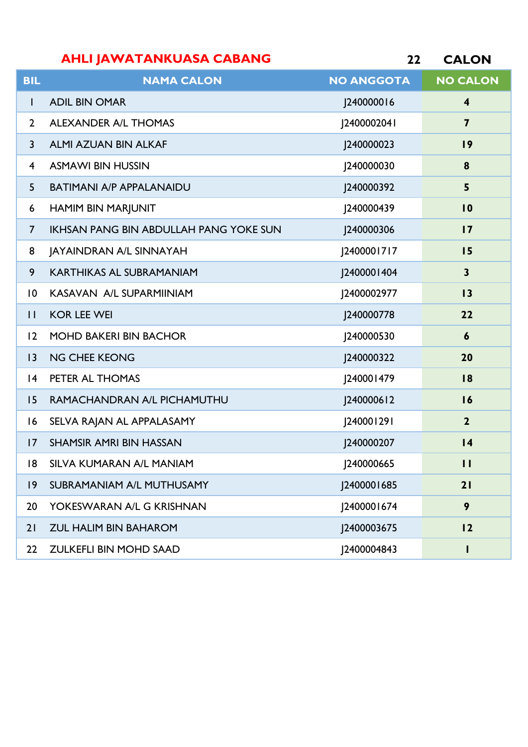| <b>CALON</b> |
|--------------|
|              |

| <b>BIL</b>     | <b>NAMA CALON</b>                             | <b>NO ANGGOTA</b> | <b>NO CALON</b>         |
|----------------|-----------------------------------------------|-------------------|-------------------------|
| T              | <b>ADIL BIN OMAR</b>                          | J240000016        | $\overline{\mathbf{4}}$ |
| $\mathbf{2}$   | <b>ALEXANDER A/L THOMAS</b>                   | [240000204]       | $\overline{\mathbf{z}}$ |
| $\mathsf{3}$   | <b>ALMI AZUAN BIN ALKAF</b>                   | J240000023        | 19                      |
| 4              | <b>ASMAWI BIN HUSSIN</b>                      | 240000030         | 8                       |
| 5              | <b>BATIMANI A/P APPALANAIDU</b>               | J240000392        | 5                       |
| 6              | <b>HAMIM BIN MARJUNIT</b>                     | J240000439        | 10                      |
| $\overline{7}$ | <b>IKHSAN PANG BIN ABDULLAH PANG YOKE SUN</b> | J240000306        | $\overline{17}$         |
| 8              | JAYAINDRAN A/L SINNAYAH                       | [2400001717       | 15                      |
| 9              | <b>KARTHIKAS AL SUBRAMANIAM</b>               | 2400001404        | $\mathbf{3}$            |
| $\overline{0}$ | KASAVAN A/L SUPARMIINIAM                      | J2400002977       | 13                      |
| $\mathbf{H}$   | <b>KOR LEE WEI</b>                            | J240000778        | 22                      |
| 12             | <b>MOHD BAKERI BIN BACHOR</b>                 | J240000530        | $\boldsymbol{6}$        |
| 3              | <b>NG CHEE KEONG</b>                          | J240000322        | 20                      |
| 4              | PETER AL THOMAS                               | [240001479]       | 18                      |
| 15             | RAMACHANDRAN A/L PICHAMUTHU                   | J240000612        | 16                      |
| 16             | SELVA RAJAN AL APPALASAMY                     | [240001291        | $\overline{2}$          |
| 17             | <b>SHAMSIR AMRI BIN HASSAN</b>                | J240000207        | $\overline{14}$         |
| 18.            | SILVA KUMARAN A/L MANIAM                      | J240000665        | Ш                       |
| $ 9\rangle$    | SUBRAMANIAM A/L MUTHUSAMY                     | J2400001685       | 21                      |
| 20             | YOKESWARAN A/L G KRISHNAN                     | J2400001674       | 9                       |
| 21             | ZUL HALIM BIN BAHAROM                         | J2400003675       | 12                      |
| 22             | ZULKEFLI BIN MOHD SAAD                        | 2400004843        |                         |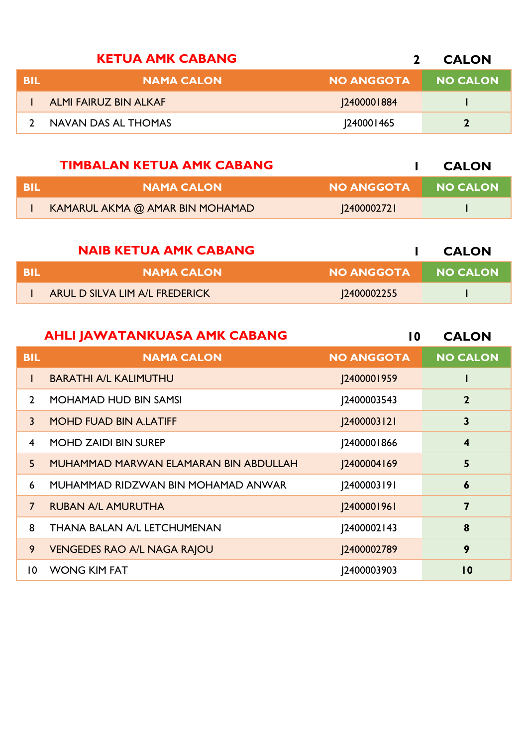|     | <b>KETUA AMK CABANG</b>      |                   | <b>CALON</b>    |
|-----|------------------------------|-------------------|-----------------|
| BIL | <b>NAMA CALON</b>            | <b>NO ANGGOTA</b> | <b>NO CALON</b> |
|     | <b>ALMI FAIRUZ BIN ALKAF</b> | 2400001884        |                 |
|     | NAVAN DAS AL THOMAS          | <b>240001465</b>  |                 |

|      | <b>TIMBALAN KETUA AMK CABANG</b> |                   | <b>CALON</b>    |
|------|----------------------------------|-------------------|-----------------|
| -BIL | <b>NAMA CALON</b>                | <b>NO ANGGOTA</b> | <b>NO CALON</b> |
|      | KAMARUL AKMA @ AMAR BIN MOHAMAD  | 12400002721       |                 |

|      | <b>NAIB KETUA AMK CABANG</b>   |                   | <b>CALON</b> |
|------|--------------------------------|-------------------|--------------|
| -BIL | <b>NAMA CALON</b>              | NO ANGGOTA !      | NO CALON     |
|      | ARUL D SILVA LIM A/L FREDERICK | <b>2400002255</b> |              |

|                | <b>AHLI JAWATANKUASA AMK CABANG</b>   | 10                | <b>CALON</b>            |
|----------------|---------------------------------------|-------------------|-------------------------|
| <b>BIL</b>     | <b>NAMA CALON</b>                     | <b>NO ANGGOTA</b> | <b>NO CALON</b>         |
|                | <b>BARATHI A/L KALIMUTHU</b>          | J2400001959       |                         |
| $\mathcal{P}$  | <b>MOHAMAD HUD BIN SAMSI</b>          | 2400003543        | $\mathbf{2}$            |
| 3              | <b>MOHD FUAD BIN A.LATIFF</b>         | [2400003121]      | 3                       |
| $\overline{4}$ | <b>MOHD ZAIDI BIN SUREP</b>           | J2400001866       | $\overline{\mathbf{4}}$ |
| 5 <sup>5</sup> | MUHAMMAD MARWAN ELAMARAN BIN ABDULLAH | J2400004169       | 5                       |
| 6              | MUHAMMAD RIDZWAN BIN MOHAMAD ANWAR    | 2400003191        | 6                       |
| $\overline{7}$ | <b>RUBAN A/L AMURUTHA</b>             | [2400001961]      | $\overline{\mathbf{z}}$ |
| 8              | THANA BALAN A/L LETCHUMENAN           | [2400002143]      | 8                       |
| 9              | <b>VENGEDES RAO A/L NAGA RAJOU</b>    | J2400002789       | 9                       |
| 10             | <b>WONG KIM FAT</b>                   | 2400003903        | $\overline{10}$         |